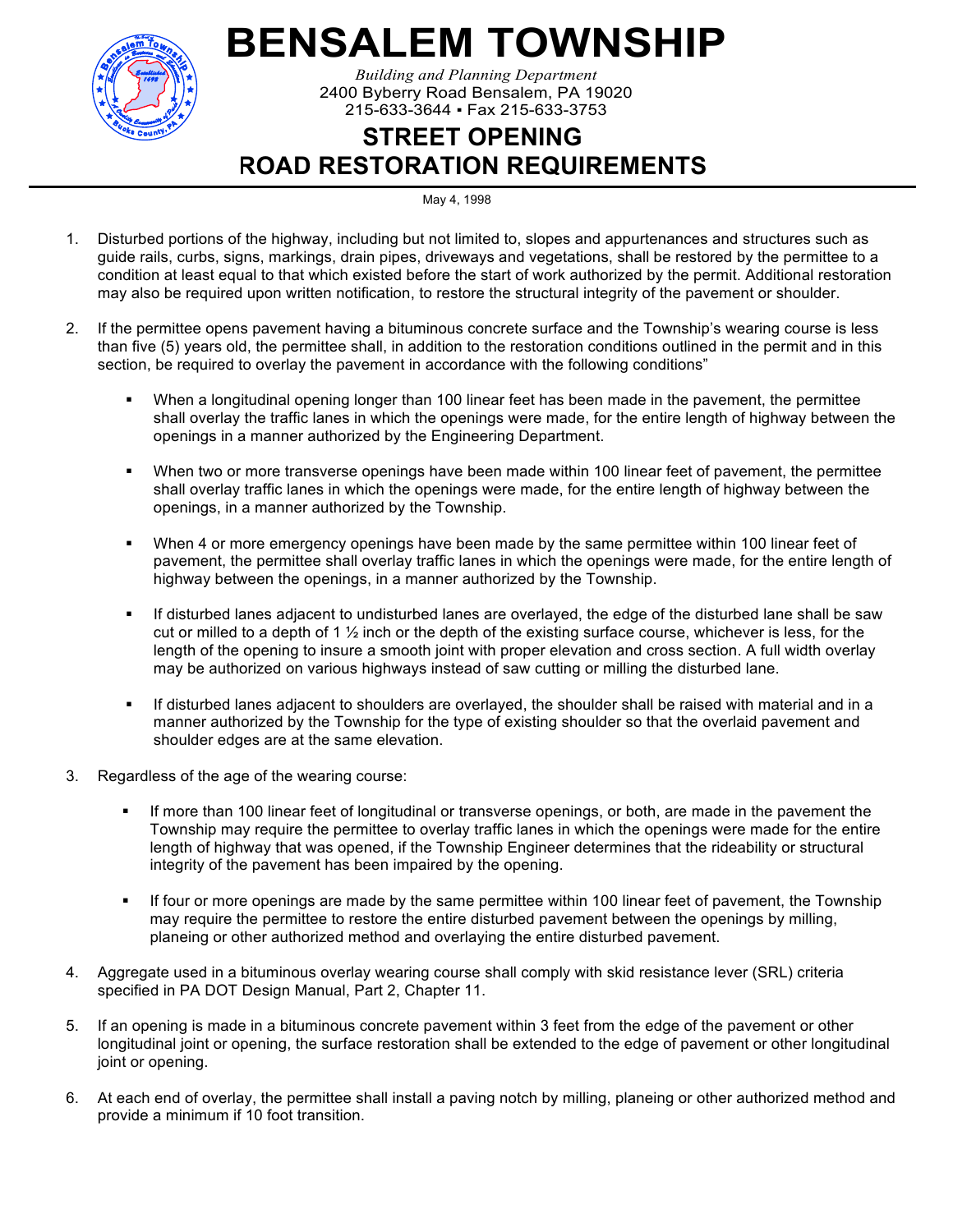

## **BENSALEM TOWNSHIP**

*Building and Planning Department* 2400 Byberry Road Bensalem, PA 19020 215-633-3644 ▪ Fax 215-633-3753

## **STREET OPENING ROAD RESTORATION REQUIREMENTS**

May 4, 1998

- 1. Disturbed portions of the highway, including but not limited to, slopes and appurtenances and structures such as guide rails, curbs, signs, markings, drain pipes, driveways and vegetations, shall be restored by the permittee to a condition at least equal to that which existed before the start of work authorized by the permit. Additional restoration may also be required upon written notification, to restore the structural integrity of the pavement or shoulder.
- 2. If the permittee opens pavement having a bituminous concrete surface and the Township's wearing course is less than five (5) years old, the permittee shall, in addition to the restoration conditions outlined in the permit and in this section, be required to overlay the pavement in accordance with the following conditions"
	- When a longitudinal opening longer than 100 linear feet has been made in the pavement, the permittee shall overlay the traffic lanes in which the openings were made, for the entire length of highway between the openings in a manner authorized by the Engineering Department.
	- When two or more transverse openings have been made within 100 linear feet of pavement, the permittee shall overlay traffic lanes in which the openings were made, for the entire length of highway between the openings, in a manner authorized by the Township.
	- When 4 or more emergency openings have been made by the same permittee within 100 linear feet of pavement, the permittee shall overlay traffic lanes in which the openings were made, for the entire length of highway between the openings, in a manner authorized by the Township.
	- If disturbed lanes adjacent to undisturbed lanes are overlayed, the edge of the disturbed lane shall be saw cut or milled to a depth of 1  $\frac{1}{2}$  inch or the depth of the existing surface course, whichever is less, for the length of the opening to insure a smooth joint with proper elevation and cross section. A full width overlay may be authorized on various highways instead of saw cutting or milling the disturbed lane.
	- If disturbed lanes adjacent to shoulders are overlayed, the shoulder shall be raised with material and in a manner authorized by the Township for the type of existing shoulder so that the overlaid pavement and shoulder edges are at the same elevation.
- 3. Regardless of the age of the wearing course:
	- If more than 100 linear feet of longitudinal or transverse openings, or both, are made in the pavement the Township may require the permittee to overlay traffic lanes in which the openings were made for the entire length of highway that was opened, if the Township Engineer determines that the rideability or structural integrity of the pavement has been impaired by the opening.
	- If four or more openings are made by the same permittee within 100 linear feet of pavement, the Township may require the permittee to restore the entire disturbed pavement between the openings by milling, planeing or other authorized method and overlaying the entire disturbed pavement.
- 4. Aggregate used in a bituminous overlay wearing course shall comply with skid resistance lever (SRL) criteria specified in PA DOT Design Manual, Part 2, Chapter 11.
- 5. If an opening is made in a bituminous concrete pavement within 3 feet from the edge of the pavement or other longitudinal joint or opening, the surface restoration shall be extended to the edge of pavement or other longitudinal joint or opening.
- 6. At each end of overlay, the permittee shall install a paving notch by milling, planeing or other authorized method and provide a minimum if 10 foot transition.